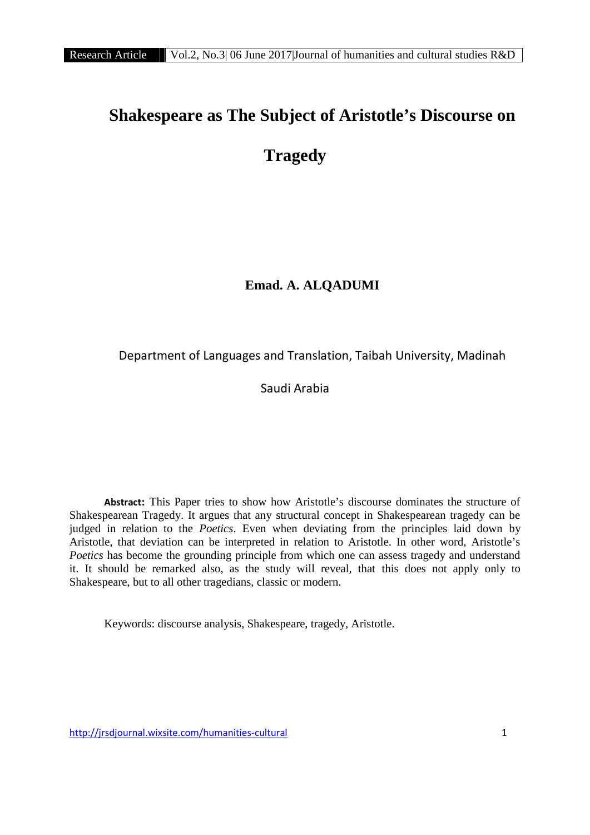# **Shakespeare as The Subject of Aristotle's Discourse on Tragedy**

# **Emad. A. ALQADUMI**

# Department of Languages and Translation, Taibah University, Madinah

Saudi Arabia

**Abstract:** This Paper tries to show how Aristotle's discourse dominates the structure of Shakespearean Tragedy. It argues that any structural concept in Shakespearean tragedy can be judged in relation to the *Poetics*. Even when deviating from the principles laid down by Aristotle, that deviation can be interpreted in relation to Aristotle. In other word, Aristotle's *Poetics* has become the grounding principle from which one can assess tragedy and understand it. It should be remarked also, as the study will reveal, that this does not apply only to Shakespeare, but to all other tragedians, classic or modern.

Keywords: discourse analysis, Shakespeare, tragedy, Aristotle.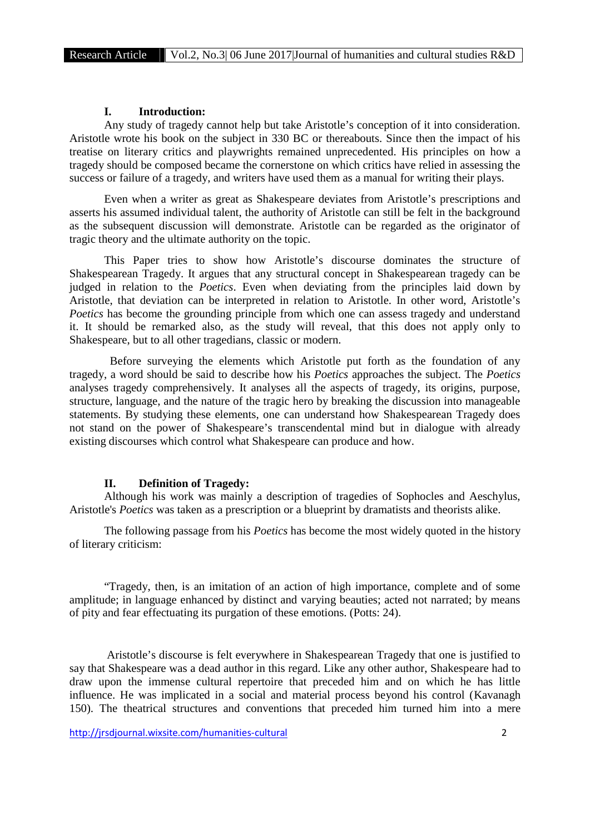## **I. Introduction:**

Any study of tragedy cannot help but take Aristotle's conception of it into consideration. Aristotle wrote his book on the subject in 330 BC or thereabouts. Since then the impact of his treatise on literary critics and playwrights remained unprecedented. His principles on how a tragedy should be composed became the cornerstone on which critics have relied in assessing the success or failure of a tragedy, and writers have used them as a manual for writing their plays.

Even when a writer as great as Shakespeare deviates from Aristotle's prescriptions and asserts his assumed individual talent, the authority of Aristotle can still be felt in the background as the subsequent discussion will demonstrate. Aristotle can be regarded as the originator of tragic theory and the ultimate authority on the topic.

This Paper tries to show how Aristotle's discourse dominates the structure of Shakespearean Tragedy. It argues that any structural concept in Shakespearean tragedy can be judged in relation to the *Poetics*. Even when deviating from the principles laid down by Aristotle, that deviation can be interpreted in relation to Aristotle. In other word, Aristotle's *Poetics* has become the grounding principle from which one can assess tragedy and understand it. It should be remarked also, as the study will reveal, that this does not apply only to Shakespeare, but to all other tragedians, classic or modern.

Before surveying the elements which Aristotle put forth as the foundation of any tragedy, a word should be said to describe how his *Poetics* approaches the subject. The *Poetics* analyses tragedy comprehensively. It analyses all the aspects of tragedy, its origins, purpose, structure, language, and the nature of the tragic hero by breaking the discussion into manageable statements. By studying these elements, one can understand how Shakespearean Tragedy does not stand on the power of Shakespeare's transcendental mind but in dialogue with already existing discourses which control what Shakespeare can produce and how.

#### **II. Definition of Tragedy:**

Although his work was mainly a description of tragedies of Sophocles and Aeschylus, Aristotle's *Poetics* was taken as a prescription or a blueprint by dramatists and theorists alike.

The following passage from his *Poetics* has become the most widely quoted in the history of literary criticism:

"Tragedy, then, is an imitation of an action of high importance, complete and of some amplitude; in language enhanced by distinct and varying beauties; acted not narrated; by means of pity and fear effectuating its purgation of these emotions. (Potts: 24).

Aristotle's discourse is felt everywhere in Shakespearean Tragedy that one is justified to say that Shakespeare was a dead author in this regard. Like any other author, Shakespeare had to draw upon the immense cultural repertoire that preceded him and on which he has little influence. He was implicated in a social and material process beyond his control (Kavanagh 150). The theatrical structures and conventions that preceded him turned him into a mere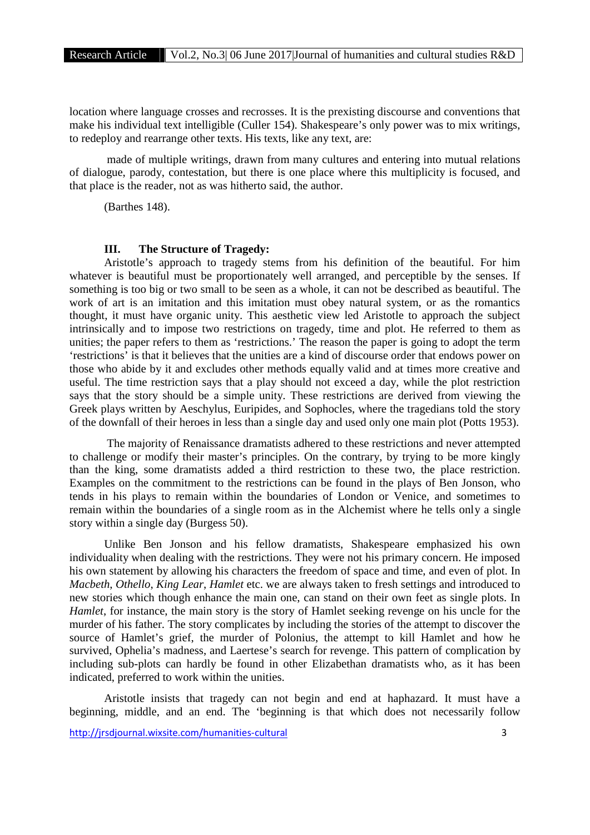location where language crosses and recrosses. It is the prexisting discourse and conventions that make his individual text intelligible (Culler 154). Shakespeare's only power was to mix writings, to redeploy and rearrange other texts. His texts, like any text, are:

made of multiple writings, drawn from many cultures and entering into mutual relations of dialogue, parody, contestation, but there is one place where this multiplicity is focused, and that place is the reader, not as was hitherto said, the author.

(Barthes 148).

## **III. The Structure of Tragedy:**

Aristotle's approach to tragedy stems from his definition of the beautiful. For him whatever is beautiful must be proportionately well arranged, and perceptible by the senses. If something is too big or two small to be seen as a whole, it can not be described as beautiful. The work of art is an imitation and this imitation must obey natural system, or as the romantics thought, it must have organic unity. This aesthetic view led Aristotle to approach the subject intrinsically and to impose two restrictions on tragedy, time and plot. He referred to them as unities; the paper refers to them as 'restrictions.' The reason the paper is going to adopt the term 'restrictions' is that it believes that the unities are a kind of discourse order that endows power on those who abide by it and excludes other methods equally valid and at times more creative and useful. The time restriction says that a play should not exceed a day, while the plot restriction says that the story should be a simple unity. These restrictions are derived from viewing the Greek plays written by Aeschylus, Euripides, and Sophocles, where the tragedians told the story of the downfall of their heroes in less than a single day and used only one main plot (Potts 1953).

The majority of Renaissance dramatists adhered to these restrictions and never attempted to challenge or modify their master's principles. On the contrary, by trying to be more kingly than the king, some dramatists added a third restriction to these two, the place restriction. Examples on the commitment to the restrictions can be found in the plays of Ben Jonson, who tends in his plays to remain within the boundaries of London or Venice, and sometimes to remain within the boundaries of a single room as in the Alchemist where he tells only a single story within a single day (Burgess 50).

Unlike Ben Jonson and his fellow dramatists, Shakespeare emphasized his own individuality when dealing with the restrictions. They were not his primary concern. He imposed his own statement by allowing his characters the freedom of space and time, and even of plot. In *Macbeth*, *Othello*, *King Lear*, *Hamlet* etc. we are always taken to fresh settings and introduced to new stories which though enhance the main one, can stand on their own feet as single plots. In *Hamlet*, for instance, the main story is the story of Hamlet seeking revenge on his uncle for the murder of his father. The story complicates by including the stories of the attempt to discover the source of Hamlet's grief, the murder of Polonius, the attempt to kill Hamlet and how he survived, Ophelia's madness, and Laertese's search for revenge. This pattern of complication by including sub-plots can hardly be found in other Elizabethan dramatists who, as it has been indicated, preferred to work within the unities.

Aristotle insists that tragedy can not begin and end at haphazard. It must have a beginning, middle, and an end. The 'beginning is that which does not necessarily follow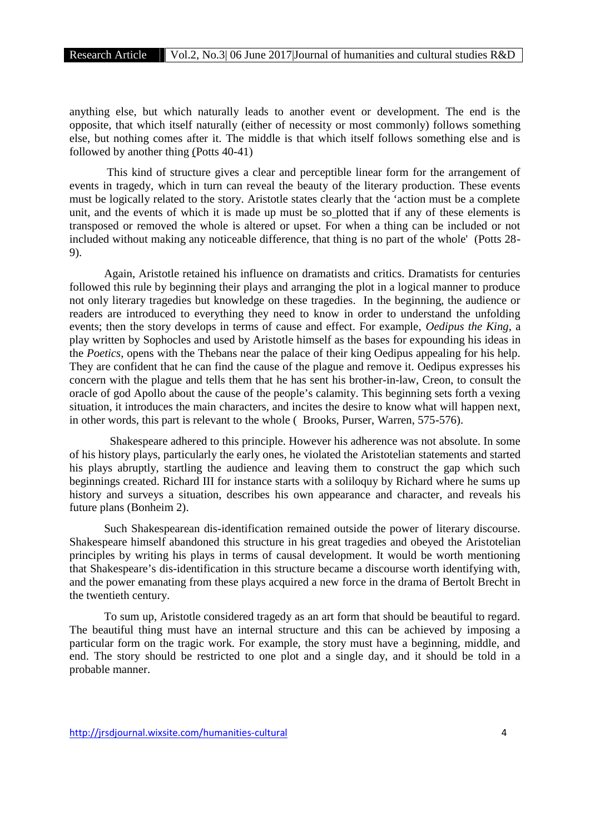Research Article Vol.2, No.3| 06 June 2017|Journal of humanities and cultural studies R&D

anything else, but which naturally leads to another event or development. The end is the opposite, that which itself naturally (either of necessity or most commonly) follows something else, but nothing comes after it. The middle is that which itself follows something else and is followed by another thing (Potts 40-41)

This kind of structure gives a clear and perceptible linear form for the arrangement of events in tragedy, which in turn can reveal the beauty of the literary production. These events must be logically related to the story. Aristotle states clearly that the 'action must be a complete unit, and the events of which it is made up must be so plotted that if any of these elements is transposed or removed the whole is altered or upset. For when a thing can be included or not included without making any noticeable difference, that thing is no part of the whole' (Potts 28- 9).

Again, Aristotle retained his influence on dramatists and critics. Dramatists for centuries followed this rule by beginning their plays and arranging the plot in a logical manner to produce not only literary tragedies but knowledge on these tragedies. In the beginning, the audience or readers are introduced to everything they need to know in order to understand the unfolding events; then the story develops in terms of cause and effect. For example, *Oedipus the King*, a play written by Sophocles and used by Aristotle himself as the bases for expounding his ideas in the *Poetics*, opens with the Thebans near the palace of their king Oedipus appealing for his help. They are confident that he can find the cause of the plague and remove it. Oedipus expresses his concern with the plague and tells them that he has sent his brother-in-law, Creon, to consult the oracle of god Apollo about the cause of the people's calamity. This beginning sets forth a vexing situation, it introduces the main characters, and incites the desire to know what will happen next, in other words, this part is relevant to the whole ( Brooks, Purser, Warren, 575-576).

Shakespeare adhered to this principle. However his adherence was not absolute. In some of his history plays, particularly the early ones, he violated the Aristotelian statements and started his plays abruptly, startling the audience and leaving them to construct the gap which such beginnings created. Richard III for instance starts with a soliloquy by Richard where he sums up history and surveys a situation, describes his own appearance and character, and reveals his future plans (Bonheim 2).

Such Shakespearean dis-identification remained outside the power of literary discourse. Shakespeare himself abandoned this structure in his great tragedies and obeyed the Aristotelian principles by writing his plays in terms of causal development. It would be worth mentioning that Shakespeare's dis-identification in this structure became a discourse worth identifying with, and the power emanating from these plays acquired a new force in the drama of Bertolt Brecht in the twentieth century.

To sum up, Aristotle considered tragedy as an art form that should be beautiful to regard. The beautiful thing must have an internal structure and this can be achieved by imposing a particular form on the tragic work. For example, the story must have a beginning, middle, and end. The story should be restricted to one plot and a single day, and it should be told in a probable manner.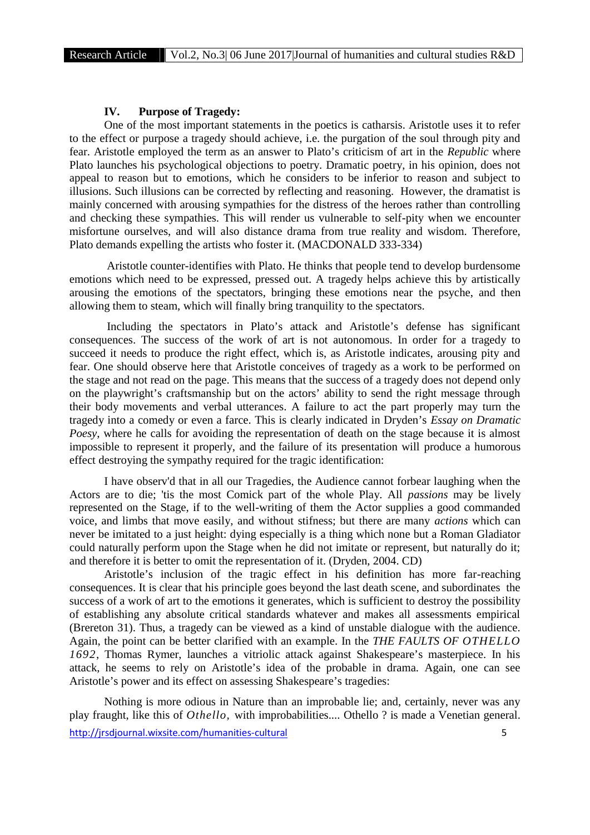### **IV. Purpose of Tragedy:**

One of the most important statements in the poetics is catharsis. Aristotle uses it to refer to the effect or purpose a tragedy should achieve, i.e. the purgation of the soul through pity and fear. Aristotle employed the term as an answer to Plato's criticism of art in the *Republic* where Plato launches his psychological objections to poetry. Dramatic poetry, in his opinion, does not appeal to reason but to emotions, which he considers to be inferior to reason and subject to illusions. Such illusions can be corrected by reflecting and reasoning. However, the dramatist is mainly concerned with arousing sympathies for the distress of the heroes rather than controlling and checking these sympathies. This will render us vulnerable to self-pity when we encounter misfortune ourselves, and will also distance drama from true reality and wisdom. Therefore, Plato demands expelling the artists who foster it. (MACDONALD 333-334)

Aristotle counter-identifies with Plato. He thinks that people tend to develop burdensome emotions which need to be expressed, pressed out. A tragedy helps achieve this by artistically arousing the emotions of the spectators, bringing these emotions near the psyche, and then allowing them to steam, which will finally bring tranquility to the spectators.

Including the spectators in Plato's attack and Aristotle's defense has significant consequences. The success of the work of art is not autonomous. In order for a tragedy to succeed it needs to produce the right effect, which is, as Aristotle indicates, arousing pity and fear. One should observe here that Aristotle conceives of tragedy as a work to be performed on the stage and not read on the page. This means that the success of a tragedy does not depend only on the playwright's craftsmanship but on the actors' ability to send the right message through their body movements and verbal utterances. A failure to act the part properly may turn the tragedy into a comedy or even a farce. This is clearly indicated in Dryden's *Essay on Dramatic Poesy*, where he calls for avoiding the representation of death on the stage because it is almost impossible to represent it properly, and the failure of its presentation will produce a humorous effect destroying the sympathy required for the tragic identification:

I have observ'd that in all our Tragedies, the Audience cannot forbear laughing when the Actors are to die; 'tis the most Comick part of the whole Play. All *passions* may be lively represented on the Stage, if to the well-writing of them the Actor supplies a good commanded voice, and limbs that move easily, and without stifness; but there are many *actions* which can never be imitated to a just height: dying especially is a thing which none but a Roman Gladiator could naturally perform upon the Stage when he did not imitate or represent, but naturally do it; and therefore it is better to omit the representation of it. (Dryden, 2004. CD)

Aristotle's inclusion of the tragic effect in his definition has more far-reaching consequences. It is clear that his principle goes beyond the last death scene, and subordinates the success of a work of art to the emotions it generates, which is sufficient to destroy the possibility of establishing any absolute critical standards whatever and makes all assessments empirical (Brereton 31). Thus, a tragedy can be viewed as a kind of unstable dialogue with the audience. Again, the point can be better clarified with an example. In the *THE FAULTS OF OTHELLO 1692*, Thomas Rymer, launches a vitriolic attack against Shakespeare's masterpiece. In his attack, he seems to rely on Aristotle's idea of the probable in drama. Again, one can see Aristotle's power and its effect on assessing Shakespeare's tragedies:

http://jrsdjournal.wixsite.com/humanities-cultural 5 Nothing is more odious in Nature than an improbable lie; and, certainly, never was any play fraught, like this of *Othello,* with improbabilities.... Othello ? is made a Venetian general.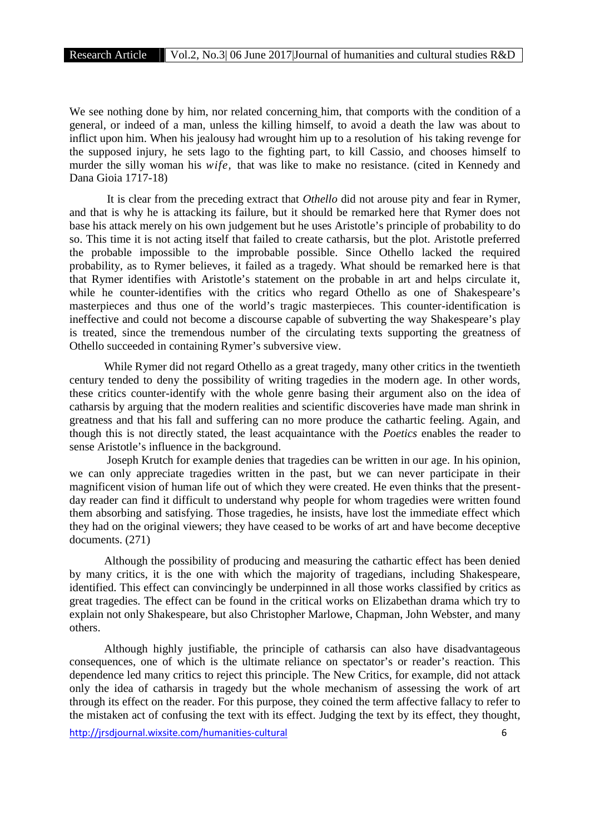We see nothing done by him, nor related concerning him, that comports with the condition of a general, or indeed of a man, unless the killing himself, to avoid a death the law was about to inflict upon him. When his jealousy had wrought him up to a resolution of his taking revenge for the supposed injury, he sets lago to the fighting part, to kill Cassio, and chooses himself to murder the silly woman his *wife,* that was like to make no resistance. (cited in Kennedy and Dana Gioia 1717-18)

It is clear from the preceding extract that *Othello* did not arouse pity and fear in Rymer, and that is why he is attacking its failure, but it should be remarked here that Rymer does not base his attack merely on his own judgement but he uses Aristotle's principle of probability to do so. This time it is not acting itself that failed to create catharsis, but the plot. Aristotle preferred the probable impossible to the improbable possible. Since Othello lacked the required probability, as to Rymer believes, it failed as a tragedy. What should be remarked here is that that Rymer identifies with Aristotle's statement on the probable in art and helps circulate it, while he counter-identifies with the critics who regard Othello as one of Shakespeare's masterpieces and thus one of the world's tragic masterpieces. This counter-identification is ineffective and could not become a discourse capable of subverting the way Shakespeare's play is treated, since the tremendous number of the circulating texts supporting the greatness of Othello succeeded in containing Rymer's subversive view.

While Rymer did not regard Othello as a great tragedy, many other critics in the twentieth century tended to deny the possibility of writing tragedies in the modern age. In other words, these critics counter-identify with the whole genre basing their argument also on the idea of catharsis by arguing that the modern realities and scientific discoveries have made man shrink in greatness and that his fall and suffering can no more produce the cathartic feeling. Again, and though this is not directly stated, the least acquaintance with the *Poetics* enables the reader to sense Aristotle's influence in the background.

Joseph Krutch for example denies that tragedies can be written in our age. In his opinion, we can only appreciate tragedies written in the past, but we can never participate in their magnificent vision of human life out of which they were created. He even thinks that the present day reader can find it difficult to understand why people for whom tragedies were written found them absorbing and satisfying. Those tragedies, he insists, have lost the immediate effect which they had on the original viewers; they have ceased to be works of art and have become deceptive documents. (271)

Although the possibility of producing and measuring the cathartic effect has been denied by many critics, it is the one with which the majority of tragedians, including Shakespeare, identified. This effect can convincingly be underpinned in all those works classified by critics as great tragedies. The effect can be found in the critical works on Elizabethan drama which try to explain not only Shakespeare, but also Christopher Marlowe, Chapman, John Webster, and many others.

Although highly justifiable, the principle of catharsis can also have disadvantageous consequences, one of which is the ultimate reliance on spectator's or reader's reaction. This dependence led many critics to reject this principle. The New Critics, for example, did not attack only the idea of catharsis in tragedy but the whole mechanism of assessing the work of art through its effect on the reader. For this purpose, they coined the term affective fallacy to refer to the mistaken act of confusing the text with its effect. Judging the text by its effect, they thought,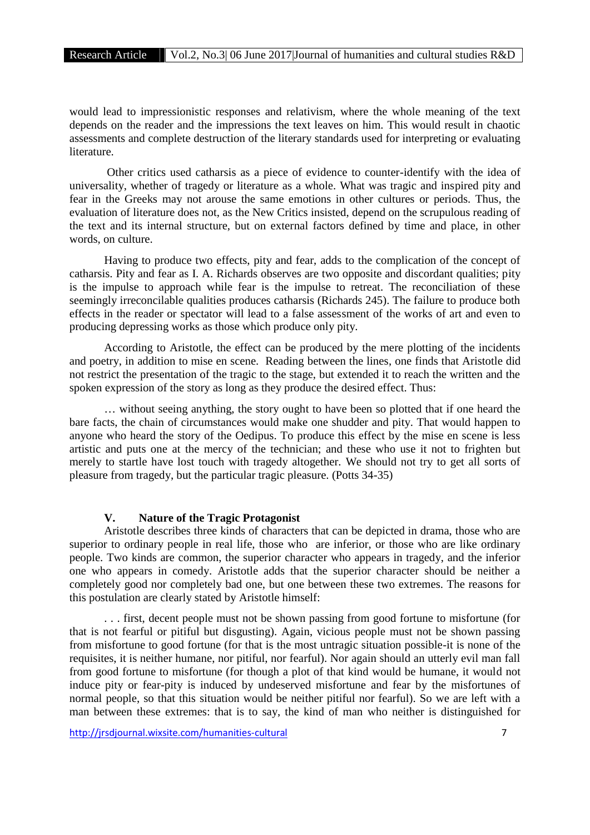would lead to impressionistic responses and relativism, where the whole meaning of the text depends on the reader and the impressions the text leaves on him. This would result in chaotic assessments and complete destruction of the literary standards used for interpreting or evaluating literature.

Other critics used catharsis as a piece of evidence to counter-identify with the idea of universality, whether of tragedy or literature as a whole. What was tragic and inspired pity and fear in the Greeks may not arouse the same emotions in other cultures or periods. Thus, the evaluation of literature does not, as the New Critics insisted, depend on the scrupulous reading of the text and its internal structure, but on external factors defined by time and place, in other words, on culture.

Having to produce two effects, pity and fear, adds to the complication of the concept of catharsis. Pity and fear as I. A. Richards observes are two opposite and discordant qualities; pity is the impulse to approach while fear is the impulse to retreat. The reconciliation of these seemingly irreconcilable qualities produces catharsis (Richards 245). The failure to produce both effects in the reader or spectator will lead to a false assessment of the works of art and even to producing depressing works as those which produce only pity.

According to Aristotle, the effect can be produced by the mere plotting of the incidents and poetry, in addition to mise en scene. Reading between the lines, one finds that Aristotle did not restrict the presentation of the tragic to the stage, but extended it to reach the written and the spoken expression of the story as long as they produce the desired effect. Thus:

… without seeing anything, the story ought to have been so plotted that if one heard the bare facts, the chain of circumstances would make one shudder and pity. That would happen to anyone who heard the story of the Oedipus. To produce this effect by the mise en scene is less artistic and puts one at the mercy of the technician; and these who use it not to frighten but merely to startle have lost touch with tragedy altogether. We should not try to get all sorts of pleasure from tragedy, but the particular tragic pleasure. (Potts 34-35)

## **V. Nature of the Tragic Protagonist**

Aristotle describes three kinds of characters that can be depicted in drama, those who are superior to ordinary people in real life, those who are inferior, or those who are like ordinary people. Two kinds are common, the superior character who appears in tragedy, and the inferior one who appears in comedy. Aristotle adds that the superior character should be neither a completely good nor completely bad one, but one between these two extremes. The reasons for this postulation are clearly stated by Aristotle himself:

. . . first, decent people must not be shown passing from good fortune to misfortune (for that is not fearful or pitiful but disgusting). Again, vicious people must not be shown passing from misfortune to good fortune (for that is the most untragic situation possible-it is none of the requisites, it is neither humane, nor pitiful, nor fearful). Nor again should an utterly evil man fall from good fortune to misfortune (for though a plot of that kind would be humane, it would not induce pity or fear-pity is induced by undeserved misfortune and fear by the misfortunes of normal people, so that this situation would be neither pitiful nor fearful). So we are left with a man between these extremes: that is to say, the kind of man who neither is distinguished for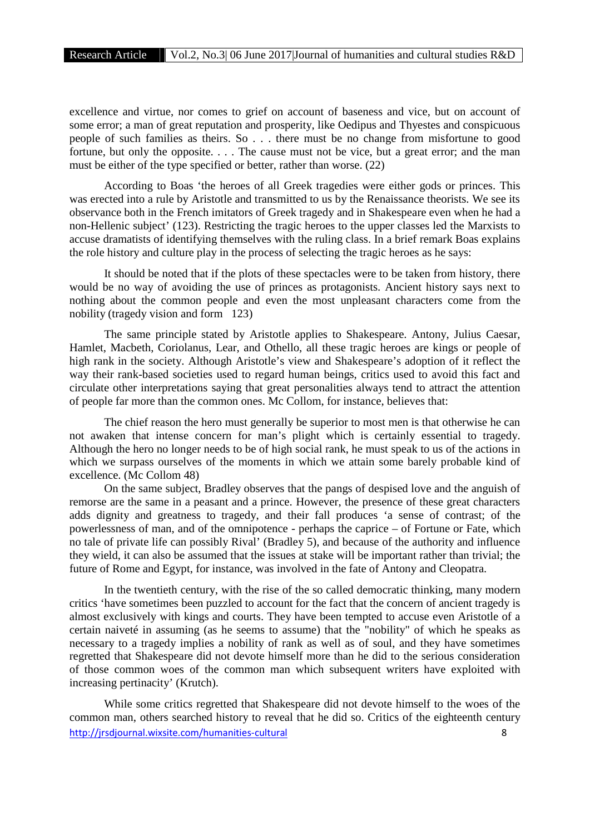excellence and virtue, nor comes to grief on account of baseness and vice, but on account of some error; a man of great reputation and prosperity, like Oedipus and Thyestes and conspicuous people of such families as theirs. So . . . there must be no change from misfortune to good fortune, but only the opposite. . . . The cause must not be vice, but a great error; and the man must be either of the type specified or better, rather than worse. (22)

According to Boas 'the heroes of all Greek tragedies were either gods or princes. This was erected into a rule by Aristotle and transmitted to us by the Renaissance theorists. We see its observance both in the French imitators of Greek tragedy and in Shakespeare even when he had a non-Hellenic subject' (123). Restricting the tragic heroes to the upper classes led the Marxists to accuse dramatists of identifying themselves with the ruling class. In a brief remark Boas explains the role history and culture play in the process of selecting the tragic heroes as he says:

It should be noted that if the plots of these spectacles were to be taken from history, there would be no way of avoiding the use of princes as protagonists. Ancient history says next to nothing about the common people and even the most unpleasant characters come from the nobility (tragedy vision and form 123)

The same principle stated by Aristotle applies to Shakespeare. Antony, Julius Caesar, Hamlet, Macbeth, Coriolanus, Lear, and Othello, all these tragic heroes are kings or people of high rank in the society. Although Aristotle's view and Shakespeare's adoption of it reflect the way their rank-based societies used to regard human beings, critics used to avoid this fact and circulate other interpretations saying that great personalities always tend to attract the attention of people far more than the common ones. Mc Collom, for instance, believes that:

The chief reason the hero must generally be superior to most men is that otherwise he can not awaken that intense concern for man's plight which is certainly essential to tragedy. Although the hero no longer needs to be of high social rank, he must speak to us of the actions in which we surpass ourselves of the moments in which we attain some barely probable kind of excellence. (Mc Collom 48)

On the same subject, Bradley observes that the pangs of despised love and the anguish of remorse are the same in a peasant and a prince. However, the presence of these great characters adds dignity and greatness to tragedy, and their fall produces 'a sense of contrast; of the powerlessness of man, and of the omnipotence - perhaps the caprice – of Fortune or Fate, which no tale of private life can possibly Rival' (Bradley 5), and because of the authority and influence they wield, it can also be assumed that the issues at stake will be important rather than trivial; the future of Rome and Egypt, for instance, was involved in the fate of Antony and Cleopatra.

In the twentieth century, with the rise of the so called democratic thinking, many modern critics 'have sometimes been puzzled to account for the fact that the concern of ancient tragedy is almost exclusively with kings and courts. They have been tempted to accuse even Aristotle of a certain naiveté in assuming (as he seems to assume) that the "nobility" of which he speaks as necessary to a tragedy implies a nobility of rank as well as of soul, and they have sometimes regretted that Shakespeare did not devote himself more than he did to the serious consideration of those common woes of the common man which subsequent writers have exploited with increasing pertinacity' (Krutch).

http://jrsdjournal.wixsite.com/humanities-cultural 8 While some critics regretted that Shakespeare did not devote himself to the woes of the common man, others searched history to reveal that he did so. Critics of the eighteenth century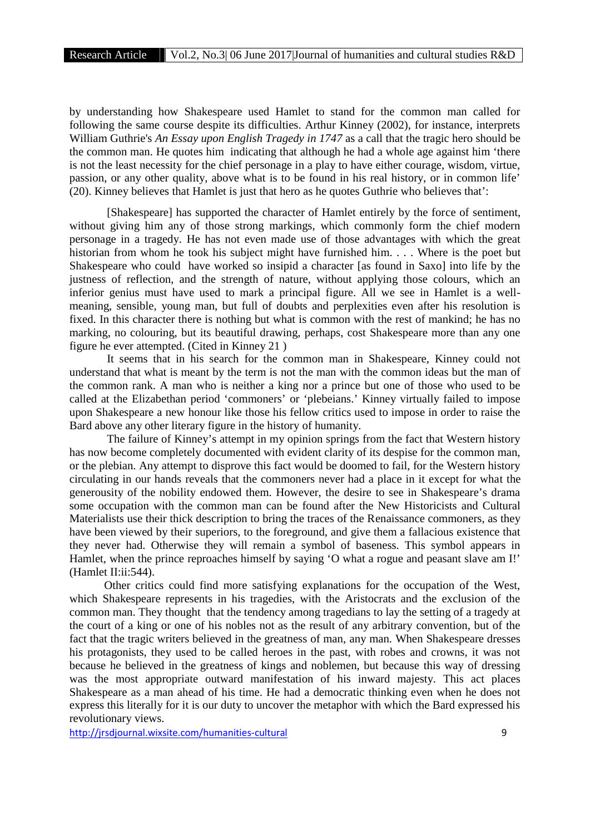by understanding how Shakespeare used Hamlet to stand for the common man called for following the same course despite its difficulties. Arthur Kinney (2002), for instance, interprets William Guthrie's *An Essay upon English Tragedy in 1747* as a call that the tragic hero should be the common man. He quotes him indicating that although he had a whole age against him 'there is not the least necessity for the chief personage in a play to have either courage, wisdom, virtue, passion, or any other quality, above what is to be found in his real history, or in common life' (20). Kinney believes that Hamlet is just that hero as he quotes Guthrie who believes that':

[Shakespeare] has supported the character of Hamlet entirely by the force of sentiment, without giving him any of those strong markings, which commonly form the chief modern personage in a tragedy. He has not even made use of those advantages with which the great historian from whom he took his subject might have furnished him. . . . Where is the poet but Shakespeare who could have worked so insipid a character [as found in Saxo] into life by the justness of reflection, and the strength of nature, without applying those colours, which an inferior genius must have used to mark a principal figure. All we see in Hamlet is a well meaning, sensible, young man, but full of doubts and perplexities even after his resolution is fixed. In this character there is nothing but what is common with the rest of mankind; he has no marking, no colouring, but its beautiful drawing, perhaps, cost Shakespeare more than any one figure he ever attempted. (Cited in Kinney 21 )

It seems that in his search for the common man in Shakespeare, Kinney could not understand that what is meant by the term is not the man with the common ideas but the man of the common rank. A man who is neither a king nor a prince but one of those who used to be called at the Elizabethan period 'commoners' or 'plebeians.' Kinney virtually failed to impose upon Shakespeare a new honour like those his fellow critics used to impose in order to raise the Bard above any other literary figure in the history of humanity.

The failure of Kinney's attempt in my opinion springs from the fact that Western history has now become completely documented with evident clarity of its despise for the common man, or the plebian. Any attempt to disprove this fact would be doomed to fail, for the Western history circulating in our hands reveals that the commoners never had a place in it except for what the generousity of the nobility endowed them. However, the desire to see in Shakespeare's drama some occupation with the common man can be found after the New Historicists and Cultural Materialists use their thick description to bring the traces of the Renaissance commoners, as they have been viewed by their superiors, to the foreground, and give them a fallacious existence that they never had. Otherwise they will remain a symbol of baseness. This symbol appears in Hamlet, when the prince reproaches himself by saying 'O what a rogue and peasant slave am I!' (Hamlet II:ii:544).

Other critics could find more satisfying explanations for the occupation of the West, which Shakespeare represents in his tragedies, with the Aristocrats and the exclusion of the common man. They thought that the tendency among tragedians to lay the setting of a tragedy at the court of a king or one of his nobles not as the result of any arbitrary convention, but of the fact that the tragic writers believed in the greatness of man, any man. When Shakespeare dresses his protagonists, they used to be called heroes in the past, with robes and crowns, it was not because he believed in the greatness of kings and noblemen, but because this way of dressing was the most appropriate outward manifestation of his inward majesty. This act places Shakespeare as a man ahead of his time. He had a democratic thinking even when he does not express this literally for it is our duty to uncover the metaphor with which the Bard expressed his revolutionary views.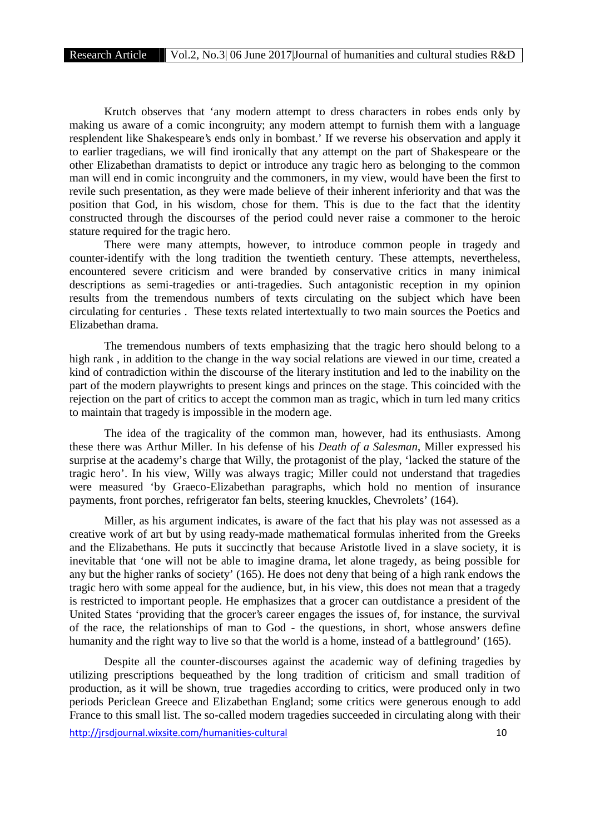Krutch observes that 'any modern attempt to dress characters in robes ends only by making us aware of a comic incongruity; any modern attempt to furnish them with a language resplendent like Shakespeare's ends only in bombast.' If we reverse his observation and apply it to earlier tragedians, we will find ironically that any attempt on the part of Shakespeare or the other Elizabethan dramatists to depict or introduce any tragic hero as belonging to the common man will end in comic incongruity and the commoners, in my view, would have been the first to revile such presentation, as they were made believe of their inherent inferiority and that was the position that God, in his wisdom, chose for them. This is due to the fact that the identity constructed through the discourses of the period could never raise a commoner to the heroic stature required for the tragic hero.

There were many attempts, however, to introduce common people in tragedy and counter-identify with the long tradition the twentieth century. These attempts, nevertheless, encountered severe criticism and were branded by conservative critics in many inimical descriptions as semi-tragedies or anti-tragedies. Such antagonistic reception in my opinion results from the tremendous numbers of texts circulating on the subject which have been circulating for centuries . These texts related intertextually to two main sources the Poetics and Elizabethan drama.

The tremendous numbers of texts emphasizing that the tragic hero should belong to a high rank , in addition to the change in the way social relations are viewed in our time, created a kind of contradiction within the discourse of the literary institution and led to the inability on the part of the modern playwrights to present kings and princes on the stage. This coincided with the rejection on the part of critics to accept the common man as tragic, which in turn led many critics to maintain that tragedy is impossible in the modern age.

The idea of the tragicality of the common man, however, had its enthusiasts. Among these there was Arthur Miller. In his defense of his *Death of a Salesman*, Miller expressed his surprise at the academy's charge that Willy, the protagonist of the play, 'lacked the stature of the tragic hero'. In his view, Willy was always tragic; Miller could not understand that tragedies were measured 'by Graeco-Elizabethan paragraphs, which hold no mention of insurance payments, front porches, refrigerator fan belts, steering knuckles, Chevrolets' (164).

Miller, as his argument indicates, is aware of the fact that his play was not assessed as a creative work of art but by using ready-made mathematical formulas inherited from the Greeks and the Elizabethans. He puts it succinctly that because Aristotle lived in a slave society, it is inevitable that 'one will not be able to imagine drama, let alone tragedy, as being possible for any but the higher ranks of society' (165). He does not deny that being of a high rank endows the tragic hero with some appeal for the audience, but, in his view, this does not mean that a tragedy is restricted to important people. He emphasizes that a grocer can outdistance a president of the United States 'providing that the grocer's career engages the issues of, for instance, the survival of the race, the relationships of man to God - the questions, in short, whose answers define humanity and the right way to live so that the world is a home, instead of a battleground' (165).

Despite all the counter-discourses against the academic way of defining tragedies by utilizing prescriptions bequeathed by the long tradition of criticism and small tradition of production, as it will be shown, true tragedies according to critics, were produced only in two periods Periclean Greece and Elizabethan England; some critics were generous enough to add France to this small list. The so-called modern tragedies succeeded in circulating along with their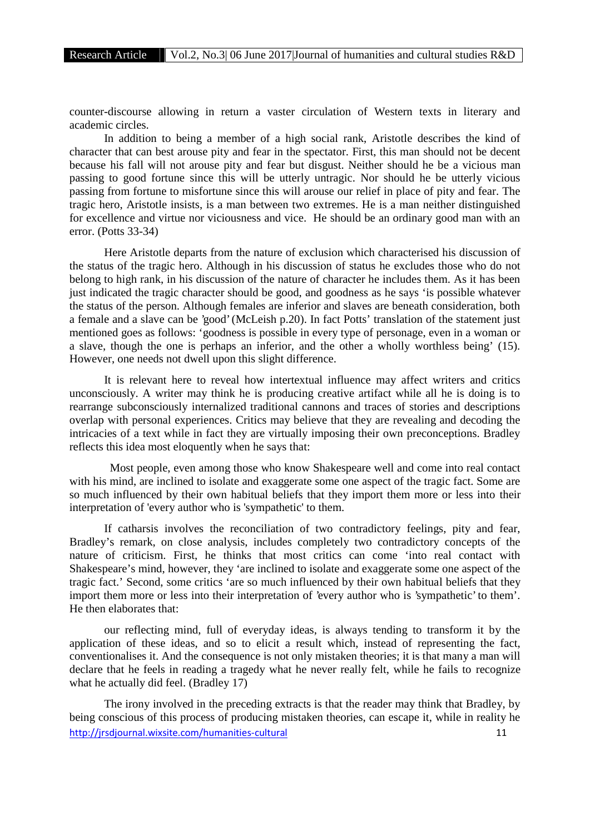counter-discourse allowing in return a vaster circulation of Western texts in literary and academic circles.

In addition to being a member of a high social rank, Aristotle describes the kind of character that can best arouse pity and fear in the spectator. First, this man should not be decent because his fall will not arouse pity and fear but disgust. Neither should he be a vicious man passing to good fortune since this will be utterly untragic. Nor should he be utterly vicious passing from fortune to misfortune since this will arouse our relief in place of pity and fear. The tragic hero, Aristotle insists, is a man between two extremes. He is a man neither distinguished for excellence and virtue nor viciousness and vice. He should be an ordinary good man with an error. (Potts 33-34)

Here Aristotle departs from the nature of exclusion which characterised his discussion of the status of the tragic hero. Although in his discussion of status he excludes those who do not belong to high rank, in his discussion of the nature of character he includes them. As it has been just indicated the tragic character should be good, and goodness as he says 'is possible whatever the status of the person. Although females are inferior and slaves are beneath consideration, both a female and a slave can be 'good' (McLeish p.20). In fact Potts' translation of the statement just mentioned goes as follows: 'goodness is possible in every type of personage, even in a woman or a slave, though the one is perhaps an inferior, and the other a wholly worthless being' (15). However, one needs not dwell upon this slight difference.

It is relevant here to reveal how intertextual influence may affect writers and critics unconsciously. A writer may think he is producing creative artifact while all he is doing is to rearrange subconsciously internalized traditional cannons and traces of stories and descriptions overlap with personal experiences. Critics may believe that they are revealing and decoding the intricacies of a text while in fact they are virtually imposing their own preconceptions. Bradley reflects this idea most eloquently when he says that:

Most people, even among those who know Shakespeare well and come into real contact with his mind, are inclined to isolate and exaggerate some one aspect of the tragic fact. Some are so much influenced by their own habitual beliefs that they import them more or less into their interpretation of 'every author who is 'sympathetic' to them.

If catharsis involves the reconciliation of two contradictory feelings, pity and fear, Bradley's remark, on close analysis, includes completely two contradictory concepts of the nature of criticism. First, he thinks that most critics can come 'into real contact with Shakespeare's mind, however, they 'are inclined to isolate and exaggerate some one aspect of the tragic fact.' Second, some critics 'are so much influenced by their own habitual beliefs that they import them more or less into their interpretation of 'every author who is 'sympathetic' to them'. He then elaborates that:

our reflecting mind, full of everyday ideas, is always tending to transform it by the application of these ideas, and so to elicit a result which, instead of representing the fact, conventionalises it. And the consequence is not only mistaken theories; it is that many a man will declare that he feels in reading a tragedy what he never really felt, while he fails to recognize what he actually did feel. (Bradley 17)

http://irsdiournal.wixsite.com/humanities-cultural 11 The irony involved in the preceding extracts is that the reader may think that Bradley, by being conscious of this process of producing mistaken theories, can escape it, while in reality he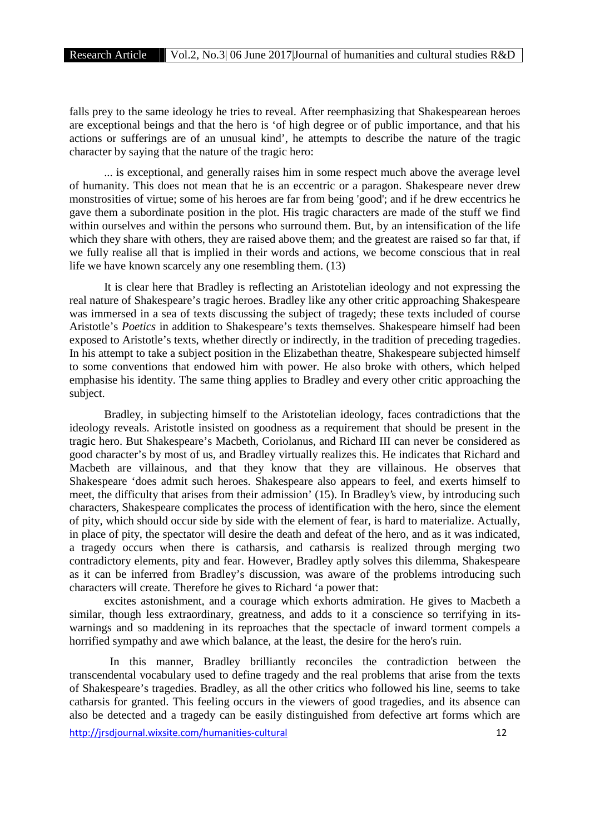falls prey to the same ideology he tries to reveal. After reemphasizing that Shakespearean heroes are exceptional beings and that the hero is 'of high degree or of public importance, and that his actions or sufferings are of an unusual kind', he attempts to describe the nature of the tragic character by saying that the nature of the tragic hero:

... is exceptional, and generally raises him in some respect much above the average level of humanity. This does not mean that he is an eccentric or a paragon. Shakespeare never drew monstrosities of virtue; some of his heroes are far from being 'good'; and if he drew eccentrics he gave them a subordinate position in the plot. His tragic characters are made of the stuff we find within ourselves and within the persons who surround them. But, by an intensification of the life which they share with others, they are raised above them; and the greatest are raised so far that, if we fully realise all that is implied in their words and actions, we become conscious that in real life we have known scarcely any one resembling them. (13)

It is clear here that Bradley is reflecting an Aristotelian ideology and not expressing the real nature of Shakespeare's tragic heroes. Bradley like any other critic approaching Shakespeare was immersed in a sea of texts discussing the subject of tragedy; these texts included of course Aristotle's *Poetics* in addition to Shakespeare's texts themselves. Shakespeare himself had been exposed to Aristotle's texts, whether directly or indirectly, in the tradition of preceding tragedies. In his attempt to take a subject position in the Elizabethan theatre, Shakespeare subjected himself to some conventions that endowed him with power. He also broke with others, which helped emphasise his identity. The same thing applies to Bradley and every other critic approaching the subject.

Bradley, in subjecting himself to the Aristotelian ideology, faces contradictions that the ideology reveals. Aristotle insisted on goodness as a requirement that should be present in the tragic hero. But Shakespeare's Macbeth, Coriolanus, and Richard III can never be considered as good character's by most of us, and Bradley virtually realizes this. He indicates that Richard and Macbeth are villainous, and that they know that they are villainous. He observes that Shakespeare 'does admit such heroes. Shakespeare also appears to feel, and exerts himself to meet, the difficulty that arises from their admission' (15). In Bradley's view, by introducing such characters, Shakespeare complicates the process of identification with the hero, since the element of pity, which should occur side by side with the element of fear, is hard to materialize. Actually, in place of pity, the spectator will desire the death and defeat of the hero, and as it was indicated, a tragedy occurs when there is catharsis, and catharsis is realized through merging two contradictory elements, pity and fear. However, Bradley aptly solves this dilemma, Shakespeare as it can be inferred from Bradley's discussion, was aware of the problems introducing such characters will create. Therefore he gives to Richard 'a power that:

excites astonishment, and a courage which exhorts admiration. He gives to Macbeth a similar, though less extraordinary, greatness, and adds to it a conscience so terrifying in its warnings and so maddening in its reproaches that the spectacle of inward torment compels a horrified sympathy and awe which balance, at the least, the desire for the hero's ruin.

In this manner, Bradley brilliantly reconciles the contradiction between the transcendental vocabulary used to define tragedy and the real problems that arise from the texts of Shakespeare's tragedies. Bradley, as all the other critics who followed his line, seems to take catharsis for granted. This feeling occurs in the viewers of good tragedies, and its absence can also be detected and a tragedy can be easily distinguished from defective art forms which are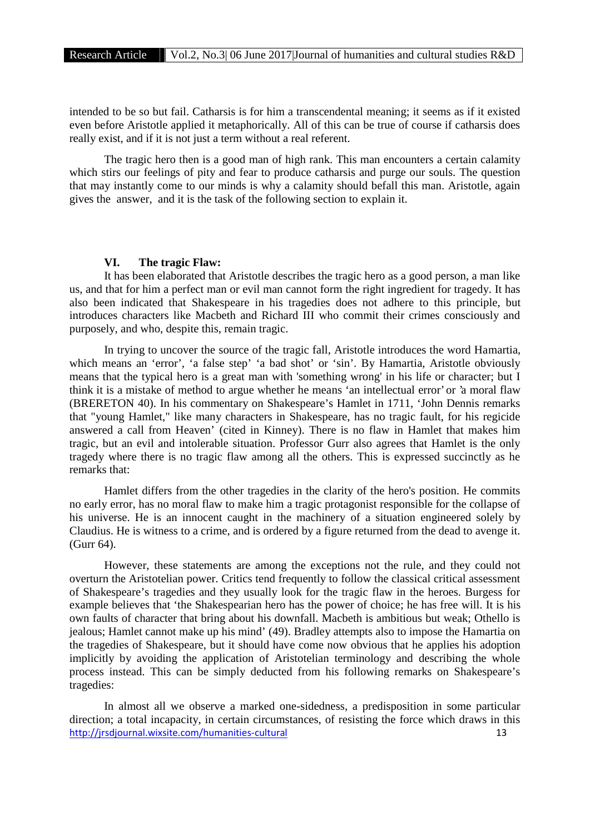intended to be so but fail. Catharsis is for him a transcendental meaning; it seems as if it existed even before Aristotle applied it metaphorically. All of this can be true of course if catharsis does really exist, and if it is not just a term without a real referent.

The tragic hero then is a good man of high rank. This man encounters a certain calamity which stirs our feelings of pity and fear to produce catharsis and purge our souls. The question that may instantly come to our minds is why a calamity should befall this man. Aristotle, again gives the answer, and it is the task of the following section to explain it.

#### **VI. The tragic Flaw:**

It has been elaborated that Aristotle describes the tragic hero as a good person, a man like us, and that for him a perfect man or evil man cannot form the right ingredient for tragedy. It has also been indicated that Shakespeare in his tragedies does not adhere to this principle, but introduces characters like Macbeth and Richard III who commit their crimes consciously and purposely, and who, despite this, remain tragic.

In trying to uncover the source of the tragic fall, Aristotle introduces the word Hamartia, which means an 'error', 'a false step' 'a bad shot' or 'sin'. By Hamartia, Aristotle obviously means that the typical hero is a great man with 'something wrong' in his life or character; but I think it is a mistake of method to argue whether he means 'an intellectual error' or 'a moral flaw (BRERETON 40). In his commentary on Shakespeare's Hamlet in 1711, 'John Dennis remarks that "young Hamlet," like many characters in Shakespeare, has no tragic fault, for his regicide answered a call from Heaven' (cited in Kinney). There is no flaw in Hamlet that makes him tragic, but an evil and intolerable situation. Professor Gurr also agrees that Hamlet is the only tragedy where there is no tragic flaw among all the others. This is expressed succinctly as he remarks that:

Hamlet differs from the other tragedies in the clarity of the hero's position. He commits no early error, has no moral flaw to make him a tragic protagonist responsible for the collapse of his universe. He is an innocent caught in the machinery of a situation engineered solely by Claudius. He is witness to a crime, and is ordered by a figure returned from the dead to avenge it. (Gurr 64).

However, these statements are among the exceptions not the rule, and they could not overturn the Aristotelian power. Critics tend frequently to follow the classical critical assessment of Shakespeare's tragedies and they usually look for the tragic flaw in the heroes. Burgess for example believes that 'the Shakespearian hero has the power of choice; he has free will. It is his own faults of character that bring about his downfall. Macbeth is ambitious but weak; Othello is jealous; Hamlet cannot make up his mind' (49). Bradley attempts also to impose the Hamartia on the tragedies of Shakespeare, but it should have come now obvious that he applies his adoption implicitly by avoiding the application of Aristotelian terminology and describing the whole process instead. This can be simply deducted from his following remarks on Shakespeare's tragedies:

http://jrsdjournal.wixsite.com/humanities-cultural 13 In almost all we observe a marked one-sidedness, a predisposition in some particular direction; a total incapacity, in certain circumstances, of resisting the force which draws in this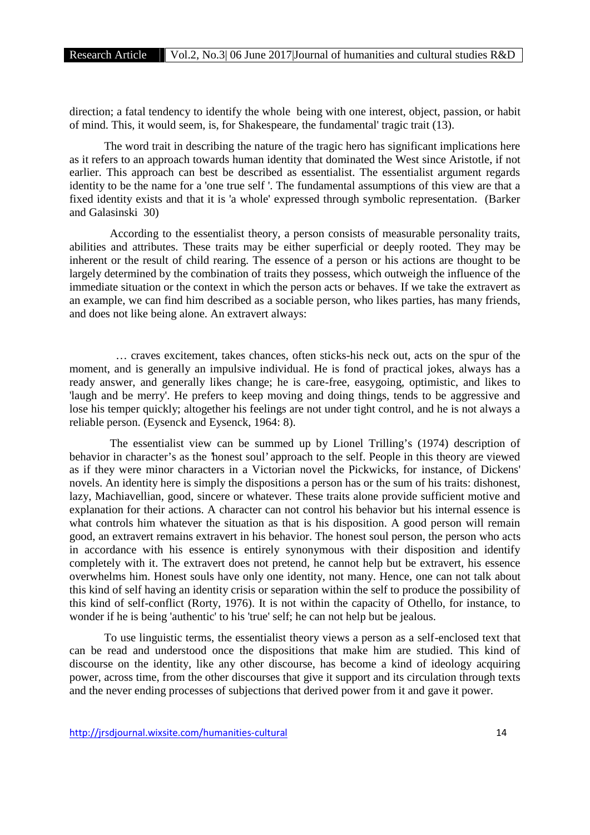direction; a fatal tendency to identify the whole being with one interest, object, passion, or habit of mind. This, it would seem, is, for Shakespeare, the fundamental' tragic trait (13).

The word trait in describing the nature of the tragic hero has significant implications here as it refers to an approach towards human identity that dominated the West since Aristotle, if not earlier. This approach can best be described as essentialist. The essentialist argument regards identity to be the name for a 'one true self '. The fundamental assumptions of this view are that a fixed identity exists and that it is 'a whole' expressed through symbolic representation. (Barker and Galasinski 30)

According to the essentialist theory, a person consists of measurable personality traits, abilities and attributes. These traits may be either superficial or deeply rooted. They may be inherent or the result of child rearing. The essence of a person or his actions are thought to be largely determined by the combination of traits they possess, which outweigh the influence of the immediate situation or the context in which the person acts or behaves. If we take the extravert as an example, we can find him described as a sociable person, who likes parties, has many friends, and does not like being alone. An extravert always:

… craves excitement, takes chances, often sticks-his neck out, acts on the spur of the moment, and is generally an impulsive individual. He is fond of practical jokes, always has a ready answer, and generally likes change; he is care-free, easygoing, optimistic, and likes to 'laugh and be merry'. He prefers to keep moving and doing things, tends to be aggressive and lose his temper quickly; altogether his feelings are not under tight control, and he is not always a reliable person. (Eysenck and Eysenck, 1964: 8).

The essentialist view can be summed up by Lionel Trilling's (1974) description of behavior in character's as the 'honest soul' approach to the self. People in this theory are viewed as if they were minor characters in a Victorian novel the Pickwicks, for instance, of Dickens' novels. An identity here is simply the dispositions a person has or the sum of his traits: dishonest, lazy, Machiavellian, good, sincere or whatever. These traits alone provide sufficient motive and explanation for their actions. A character can not control his behavior but his internal essence is what controls him whatever the situation as that is his disposition. A good person will remain good, an extravert remains extravert in his behavior. The honest soul person, the person who acts in accordance with his essence is entirely synonymous with their disposition and identify completely with it. The extravert does not pretend, he cannot help but be extravert, his essence overwhelms him. Honest souls have only one identity, not many. Hence, one can not talk about this kind of self having an identity crisis or separation within the self to produce the possibility of this kind of self-conflict (Rorty, 1976). It is not within the capacity of Othello, for instance, to wonder if he is being 'authentic' to his 'true' self; he can not help but be jealous.

To use linguistic terms, the essentialist theory views a person as a self-enclosed text that can be read and understood once the dispositions that make him are studied. This kind of discourse on the identity, like any other discourse, has become a kind of ideology acquiring power, across time, from the other discourses that give it support and its circulation through texts and the never ending processes of subjections that derived power from it and gave it power.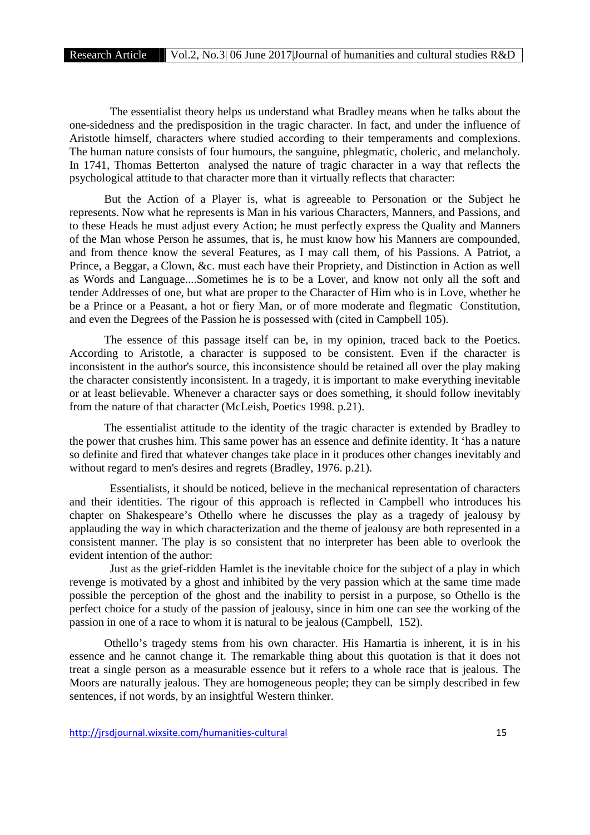The essentialist theory helps us understand what Bradley means when he talks about the one-sidedness and the predisposition in the tragic character. In fact, and under the influence of Aristotle himself, characters where studied according to their temperaments and complexions. The human nature consists of four humours, the sanguine, phlegmatic, choleric, and melancholy. In 1741, Thomas Betterton analysed the nature of tragic character in a way that reflects the psychological attitude to that character more than it virtually reflects that character:

But the Action of a Player is, what is agreeable to Personation or the Subject he represents. Now what he represents is Man in his various Characters, Manners, and Passions, and to these Heads he must adjust every Action; he must perfectly express the Quality and Manners of the Man whose Person he assumes, that is, he must know how his Manners are compounded, and from thence know the several Features, as I may call them, of his Passions. A Patriot, a Prince, a Beggar, a Clown, &c. must each have their Propriety, and Distinction in Action as well as Words and Language....Sometimes he is to be a Lover, and know not only all the soft and tender Addresses of one, but what are proper to the Character of Him who is in Love, whether he be a Prince or a Peasant, a hot or fiery Man, or of more moderate and flegmatic Constitution, and even the Degrees of the Passion he is possessed with (cited in Campbell 105).

The essence of this passage itself can be, in my opinion, traced back to the Poetics. According to Aristotle, a character is supposed to be consistent. Even if the character is inconsistent in the author's source, this inconsistence should be retained all over the play making the character consistently inconsistent. In a tragedy, it is important to make everything inevitable or at least believable. Whenever a character says or does something, it should follow inevitably from the nature of that character (McLeish, Poetics 1998. p.21).

The essentialist attitude to the identity of the tragic character is extended by Bradley to the power that crushes him. This same power has an essence and definite identity. It 'has a nature so definite and fired that whatever changes take place in it produces other changes inevitably and without regard to men's desires and regrets (Bradley, 1976. p.21).

Essentialists, it should be noticed, believe in the mechanical representation of characters and their identities. The rigour of this approach is reflected in Campbell who introduces his chapter on Shakespeare's Othello where he discusses the play as a tragedy of jealousy by applauding the way in which characterization and the theme of jealousy are both represented in a consistent manner. The play is so consistent that no interpreter has been able to overlook the evident intention of the author:

Just as the grief-ridden Hamlet is the inevitable choice for the subject of a play in which revenge is motivated by a ghost and inhibited by the very passion which at the same time made possible the perception of the ghost and the inability to persist in a purpose, so Othello is the perfect choice for a study of the passion of jealousy, since in him one can see the working of the passion in one of a race to whom it is natural to be jealous (Campbell, 152).

Othello's tragedy stems from his own character. His Hamartia is inherent, it is in his essence and he cannot change it. The remarkable thing about this quotation is that it does not treat a single person as a measurable essence but it refers to a whole race that is jealous. The Moors are naturally jealous. They are homogeneous people; they can be simply described in few sentences, if not words, by an insightful Western thinker.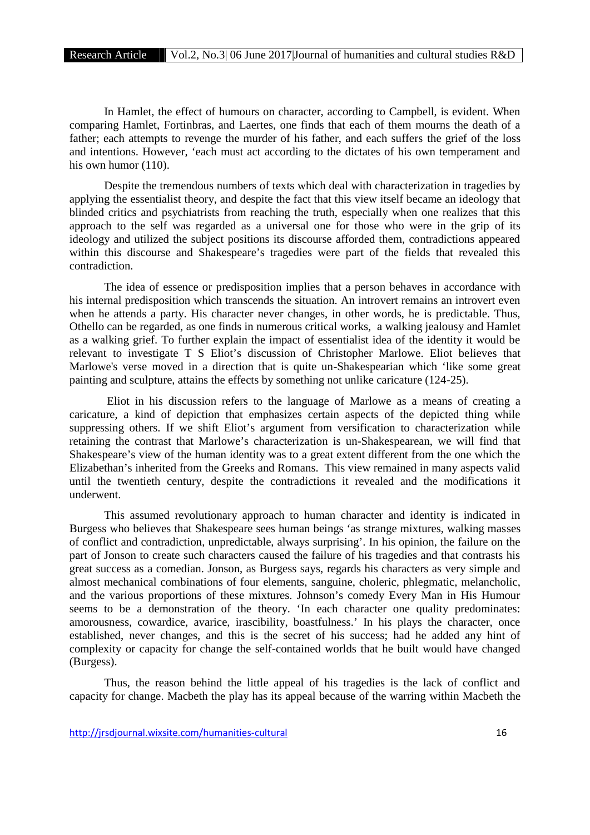In Hamlet, the effect of humours on character, according to Campbell, is evident. When comparing Hamlet, Fortinbras, and Laertes, one finds that each of them mourns the death of a father; each attempts to revenge the murder of his father, and each suffers the grief of the loss and intentions. However, 'each must act according to the dictates of his own temperament and his own humor (110).

Despite the tremendous numbers of texts which deal with characterization in tragedies by applying the essentialist theory, and despite the fact that this view itself became an ideology that blinded critics and psychiatrists from reaching the truth, especially when one realizes that this approach to the self was regarded as a universal one for those who were in the grip of its ideology and utilized the subject positions its discourse afforded them, contradictions appeared within this discourse and Shakespeare's tragedies were part of the fields that revealed this contradiction.

The idea of essence or predisposition implies that a person behaves in accordance with his internal predisposition which transcends the situation. An introvert remains an introvert even when he attends a party. His character never changes, in other words, he is predictable. Thus, Othello can be regarded, as one finds in numerous critical works, a walking jealousy and Hamlet as a walking grief. To further explain the impact of essentialist idea of the identity it would be relevant to investigate T S Eliot's discussion of Christopher Marlowe. Eliot believes that Marlowe's verse moved in a direction that is quite un-Shakespearian which 'like some great painting and sculpture, attains the effects by something not unlike caricature (124-25).

Eliot in his discussion refers to the language of Marlowe as a means of creating a caricature, a kind of depiction that emphasizes certain aspects of the depicted thing while suppressing others. If we shift Eliot's argument from versification to characterization while retaining the contrast that Marlowe's characterization is un-Shakespearean, we will find that Shakespeare's view of the human identity was to a great extent different from the one which the Elizabethan's inherited from the Greeks and Romans. This view remained in many aspects valid until the twentieth century, despite the contradictions it revealed and the modifications it underwent.

This assumed revolutionary approach to human character and identity is indicated in Burgess who believes that Shakespeare sees human beings 'as strange mixtures, walking masses of conflict and contradiction, unpredictable, always surprising'. In his opinion, the failure on the part of Jonson to create such characters caused the failure of his tragedies and that contrasts his great success as a comedian. Jonson, as Burgess says, regards his characters as very simple and almost mechanical combinations of four elements, sanguine, choleric, phlegmatic, melancholic, and the various proportions of these mixtures. Johnson's comedy Every Man in His Humour seems to be a demonstration of the theory. 'In each character one quality predominates: amorousness, cowardice, avarice, irascibility, boastfulness.' In his plays the character, once established, never changes, and this is the secret of his success; had he added any hint of complexity or capacity for change the self-contained worlds that he built would have changed (Burgess).

Thus, the reason behind the little appeal of his tragedies is the lack of conflict and capacity for change. Macbeth the play has its appeal because of the warring within Macbeth the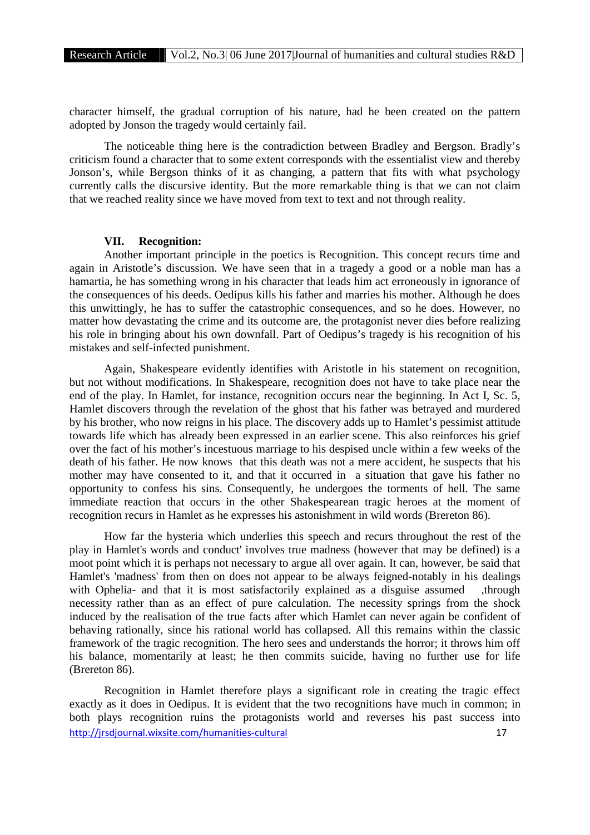character himself, the gradual corruption of his nature, had he been created on the pattern adopted by Jonson the tragedy would certainly fail.

The noticeable thing here is the contradiction between Bradley and Bergson. Bradly's criticism found a character that to some extent corresponds with the essentialist view and thereby Jonson's, while Bergson thinks of it as changing, a pattern that fits with what psychology currently calls the discursive identity. But the more remarkable thing is that we can not claim that we reached reality since we have moved from text to text and not through reality.

# **VII. Recognition:**

Another important principle in the poetics is Recognition. This concept recurs time and again in Aristotle's discussion. We have seen that in a tragedy a good or a noble man has a hamartia, he has something wrong in his character that leads him act erroneously in ignorance of the consequences of his deeds. Oedipus kills his father and marries his mother. Although he does this unwittingly, he has to suffer the catastrophic consequences, and so he does. However, no matter how devastating the crime and its outcome are, the protagonist never dies before realizing his role in bringing about his own downfall. Part of Oedipus's tragedy is his recognition of his mistakes and self-infected punishment.

Again, Shakespeare evidently identifies with Aristotle in his statement on recognition, but not without modifications. In Shakespeare, recognition does not have to take place near the end of the play. In Hamlet, for instance, recognition occurs near the beginning. In Act I, Sc. 5, Hamlet discovers through the revelation of the ghost that his father was betrayed and murdered by his brother, who now reigns in his place. The discovery adds up to Hamlet's pessimist attitude towards life which has already been expressed in an earlier scene. This also reinforces his grief over the fact of his mother's incestuous marriage to his despised uncle within a few weeks of the death of his father. He now knows that this death was not a mere accident, he suspects that his mother may have consented to it, and that it occurred in a situation that gave his father no opportunity to confess his sins. Consequently, he undergoes the torments of hell. The same immediate reaction that occurs in the other Shakespearean tragic heroes at the moment of recognition recurs in Hamlet as he expresses his astonishment in wild words (Brereton 86).

How far the hysteria which underlies this speech and recurs throughout the rest of the play in Hamlet's words and conduct' involves true madness (however that may be defined) is a moot point which it is perhaps not necessary to argue all over again. It can, however, be said that Hamlet's 'madness' from then on does not appear to be always feigned-notably in his dealings with Ophelia- and that it is most satisfactorily explained as a disguise assumed ,through necessity rather than as an effect of pure calculation. The necessity springs from the shock induced by the realisation of the true facts after which Hamlet can never again be confident of behaving rationally, since his rational world has collapsed. All this remains within the classic framework of the tragic recognition. The hero sees and understands the horror; it throws him off his balance, momentarily at least; he then commits suicide, having no further use for life (Brereton 86).

http://irsdiournal.wixsite.com/humanities-cultural 17 Recognition in Hamlet therefore plays a significant role in creating the tragic effect exactly as it does in Oedipus. It is evident that the two recognitions have much in common; in both plays recognition ruins the protagonists world and reverses his past success into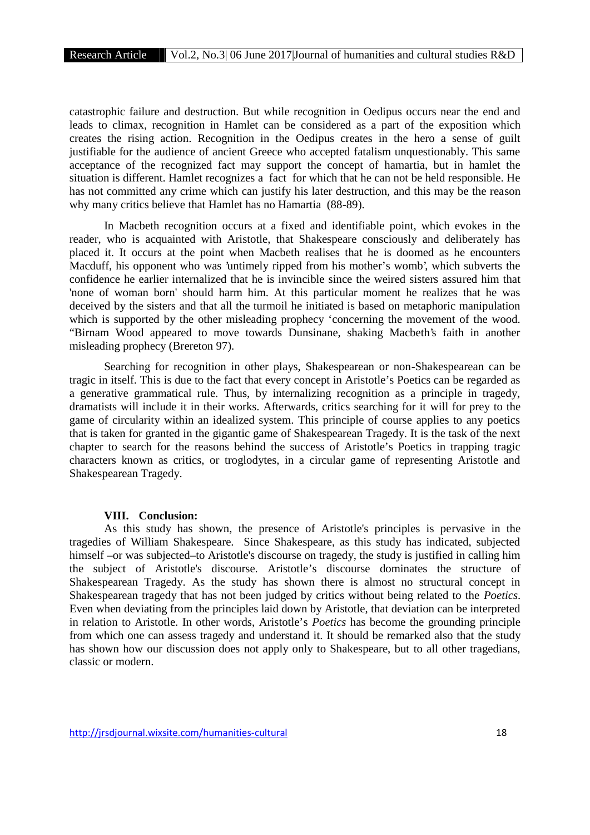catastrophic failure and destruction. But while recognition in Oedipus occurs near the end and leads to climax, recognition in Hamlet can be considered as a part of the exposition which creates the rising action. Recognition in the Oedipus creates in the hero a sense of guilt justifiable for the audience of ancient Greece who accepted fatalism unquestionably. This same acceptance of the recognized fact may support the concept of hamartia, but in hamlet the situation is different. Hamlet recognizes a fact for which that he can not be held responsible. He has not committed any crime which can justify his later destruction, and this may be the reason why many critics believe that Hamlet has no Hamartia (88-89).

In Macbeth recognition occurs at a fixed and identifiable point, which evokes in the reader, who is acquainted with Aristotle, that Shakespeare consciously and deliberately has placed it. It occurs at the point when Macbeth realises that he is doomed as he encounters Macduff, his opponent who was 'untimely ripped from his mother's womb', which subverts the confidence he earlier internalized that he is invincible since the weired sisters assured him that 'none of woman born' should harm him. At this particular moment he realizes that he was deceived by the sisters and that all the turmoil he initiated is based on metaphoric manipulation which is supported by the other misleading prophecy 'concerning the movement of the wood. "Birnam Wood appeared to move towards Dunsinane, shaking Macbeth's faith in another misleading prophecy (Brereton 97).

Searching for recognition in other plays, Shakespearean or non-Shakespearean can be tragic in itself. This is due to the fact that every concept in Aristotle's Poetics can be regarded as a generative grammatical rule. Thus, by internalizing recognition as a principle in tragedy, dramatists will include it in their works. Afterwards, critics searching for it will for prey to the game of circularity within an idealized system. This principle of course applies to any poetics that is taken for granted in the gigantic game of Shakespearean Tragedy. It is the task of the next chapter to search for the reasons behind the success of Aristotle's Poetics in trapping tragic characters known as critics, or troglodytes, in a circular game of representing Aristotle and Shakespearean Tragedy.

#### **VIII. Conclusion:**

As this study has shown, the presence of Aristotle's principles is pervasive in the tragedies of William Shakespeare. Since Shakespeare, as this study has indicated, subjected himself –or was subjected–to Aristotle's discourse on tragedy, the study is justified in calling him the subject of Aristotle's discourse. Aristotle's discourse dominates the structure of Shakespearean Tragedy. As the study has shown there is almost no structural concept in Shakespearean tragedy that has not been judged by critics without being related to the *Poetics*. Even when deviating from the principles laid down by Aristotle, that deviation can be interpreted in relation to Aristotle. In other words, Aristotle's *Poetics* has become the grounding principle from which one can assess tragedy and understand it. It should be remarked also that the study has shown how our discussion does not apply only to Shakespeare, but to all other tragedians, classic or modern.